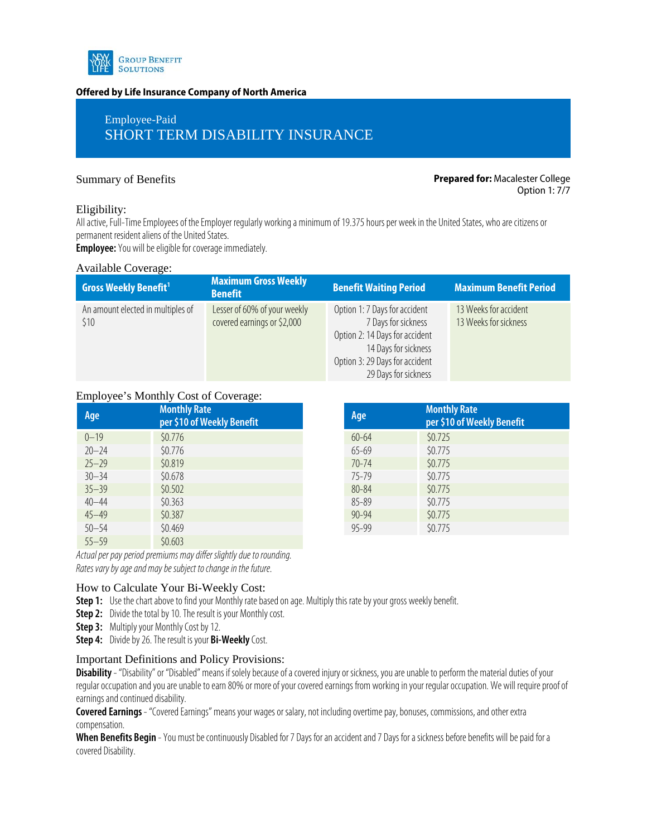

#### **Offered by Life Insurance Company of North America**

# Employee-Paid SHORT TERM DISABILITY INSURANCE

#### Summary of Benefits **Prepared for:** Macalester College Option 1: 7/7

#### Eligibility:

All active, Full-Time Employees of the Employer regularly working a minimum of 19.375 hours per week in the United States, who are citizens or permanent resident aliens of the United States.

**Employee:**You will be eligible for coverage immediately.

#### Available Coverage:

| <b>Gross Weekly Benefit</b> <sup>1</sup>  | Maximum Gross Weekly<br><b>Benefit</b>                      | <b>Benefit Waiting Period</b>                                                                                                                                            | <b>Maximum Benefit Period</b>                  |
|-------------------------------------------|-------------------------------------------------------------|--------------------------------------------------------------------------------------------------------------------------------------------------------------------------|------------------------------------------------|
| An amount elected in multiples of<br>\$10 | Lesser of 60% of your weekly<br>covered earnings or \$2,000 | Option 1: 7 Days for accident<br>7 Days for sickness<br>Option 2: 14 Days for accident<br>14 Days for sickness<br>Option 3: 29 Days for accident<br>29 Days for sickness | 13 Weeks for accident<br>13 Weeks for sickness |

### Employee's Monthly Cost of Coverage:

| Age       | <b>Monthly Rate</b><br>per \$10 of Weekly Benefit | Age       | <b>Month</b><br>per \$1 |
|-----------|---------------------------------------------------|-----------|-------------------------|
| $0 - 19$  | \$0.776                                           | $60 - 64$ | \$0.725                 |
| $20 - 24$ | \$0.776                                           | $65 - 69$ | \$0.775                 |
| $25 - 29$ | \$0.819                                           | $70 - 74$ | \$0.775                 |
| $30 - 34$ | \$0.678                                           | 75-79     | \$0.775                 |
| $35 - 39$ | \$0.502                                           | $80 - 84$ | \$0.775                 |
| $40 - 44$ | \$0.363                                           | $85 - 89$ | \$0.775                 |
| $45 - 49$ | \$0.387                                           | $90 - 94$ | \$0.775                 |
| $50 - 54$ | \$0.469                                           | $95 - 99$ | \$0.775                 |
| $55 - 59$ | \$0.603                                           |           |                         |

| <b>Monthly Rate</b><br>per \$10 of Weekly Benefit | Age       | <b>Monthly Rate</b><br>per \$10 of Weekly Benefit |
|---------------------------------------------------|-----------|---------------------------------------------------|
| \$0.776                                           | $60 - 64$ | \$0.725                                           |
| \$0.776                                           | $65 - 69$ | \$0.775                                           |
| \$0.819                                           | $70 - 74$ | \$0.775                                           |
| \$0.678                                           | $75 - 79$ | \$0.775                                           |
| \$0.502                                           | $80 - 84$ | \$0.775                                           |
| \$0.363                                           | $85 - 89$ | \$0.775                                           |
| \$0.387                                           | $90 - 94$ | \$0.775                                           |
| \$0.469                                           | $95 - 99$ | \$0.775                                           |

*Actual per pay period premiums may differ slightly due to rounding. Rates vary by age and may be subject to change in the future.* 

## How to Calculate Your Bi-Weekly Cost:

**Step 1:** Use the chart above to find your Monthly rate based on age. Multiply this rate by your gross weekly benefit.

**Step 2:** Divide the total by 10. The result is your Monthly cost.

**Step 3:** Multiply your Monthly Cost by 12.

**Step 4:** Divide by 26. The result is your **Bi-Weekly** Cost.

# Important Definitions and Policy Provisions:

**Disability**- "Disability" or "Disabled" means if solely because of a covered injury or sickness, you are unable to perform the material duties of your regular occupation and you are unable to earn 80% or more of your covered earnings from working in your regular occupation. We will require proof of earnings and continued disability.

**Covered Earnings**- "Covered Earnings" means your wages or salary, not including overtime pay, bonuses, commissions, and other extra compensation.

When Benefits Begin - You must be continuously Disabled for 7 Days for an accident and 7 Days for a sickness before benefits will be paid for a covered Disability.